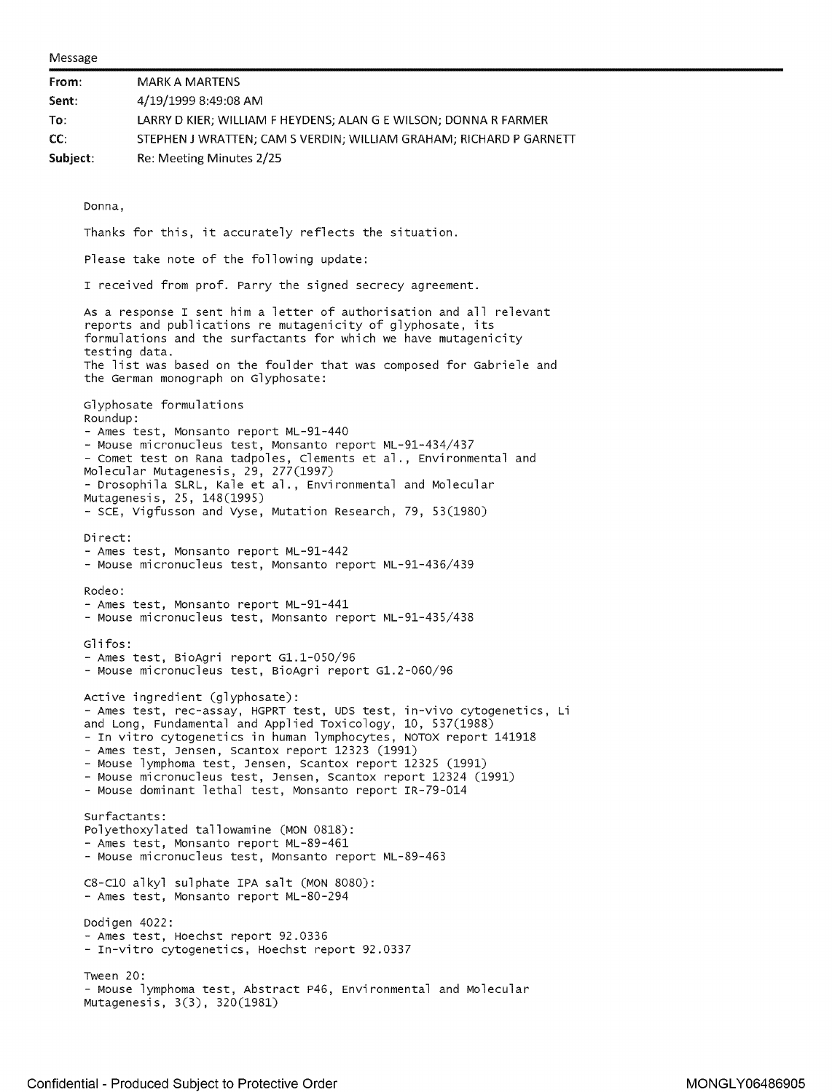Message

| From:    |               | <b>MARK A MARTENS</b>                                                                                                                                                                                                                                                                                                                                                                                                                                                                        |
|----------|---------------|----------------------------------------------------------------------------------------------------------------------------------------------------------------------------------------------------------------------------------------------------------------------------------------------------------------------------------------------------------------------------------------------------------------------------------------------------------------------------------------------|
| Sent:    |               | 4/19/1999 8:49:08 AM                                                                                                                                                                                                                                                                                                                                                                                                                                                                         |
| To:      |               | LARRY D KIER; WILLIAM F HEYDENS; ALAN G E WILSON; DONNA R FARMER                                                                                                                                                                                                                                                                                                                                                                                                                             |
| CC:      |               | STEPHEN J WRATTEN; CAM S VERDIN; WILLIAM GRAHAM; RICHARD P GARNETT                                                                                                                                                                                                                                                                                                                                                                                                                           |
| Subject: |               | Re: Meeting Minutes 2/25                                                                                                                                                                                                                                                                                                                                                                                                                                                                     |
|          |               |                                                                                                                                                                                                                                                                                                                                                                                                                                                                                              |
|          | Donna,        |                                                                                                                                                                                                                                                                                                                                                                                                                                                                                              |
|          |               | Thanks for this, it accurately reflects the situation.                                                                                                                                                                                                                                                                                                                                                                                                                                       |
|          |               | Please take note of the following update:                                                                                                                                                                                                                                                                                                                                                                                                                                                    |
|          |               | I received from prof. Parry the signed secrecy agreement.                                                                                                                                                                                                                                                                                                                                                                                                                                    |
|          | testing data. | As a response I sent him a letter of authorisation and all relevant<br>reports and publications re mutagenicity of glyphosate, its<br>formulations and the surfactants for which we have mutagenicity<br>The list was based on the foulder that was composed for Gabriele and                                                                                                                                                                                                                |
|          |               | the German monograph on Glyphosate:                                                                                                                                                                                                                                                                                                                                                                                                                                                          |
|          | Roundup:      | Glyphosate formulations                                                                                                                                                                                                                                                                                                                                                                                                                                                                      |
|          |               | - Ames test, Monsanto report ML-91-440<br>- Mouse micronucleus test, Monsanto report ML-91-434/437<br>- Comet test on Rana tadpoles, Clements et al., Environmental and<br>Molecular Mutagenesis, 29, 277(1997)<br>- Drosophila SLRL, Kale et al., Environmental and Molecular                                                                                                                                                                                                               |
|          |               | Mutagenesis, 25, 148(1995)<br>- SCE, Vigfusson and Vyse, Mutation Research, 79, 53(1980)                                                                                                                                                                                                                                                                                                                                                                                                     |
|          | Direct:       | - Ames test, Monsanto report ML-91-442<br>- Mouse micronucleus test, Monsanto report ML-91-436/439                                                                                                                                                                                                                                                                                                                                                                                           |
|          | Rodeo:        | - Ames test, Monsanto report ML-91-441<br>- Mouse micronucleus test, Monsanto report ML-91-435/438                                                                                                                                                                                                                                                                                                                                                                                           |
|          | Glifos:       | - Ames test, BioAgri report G1.1-050/96<br>- Mouse micronucleus test, BioAgri report G1.2-060/96                                                                                                                                                                                                                                                                                                                                                                                             |
|          |               | Active ingredient (glyphosate):<br>- Ames test, rec-assay, HGPRT test, UDS test, in-vivo cytogenetics, Li<br>and Long, Fundamental and Applied Toxicology, 10, 537(1988)<br>- In vitro cytogenetics in human lymphocytes, NOTOX report 141918<br>- Ames test, Jensen, Scantox report 12323 (1991)<br>- Mouse lymphoma test, Jensen, Scantox report 12325 (1991)<br>- Mouse micronucleus test, Jensen, Scantox report 12324 (1991)<br>- Mouse dominant lethal test, Monsanto report IR-79-014 |
|          | Surfactants:  | Polyethoxylated tallowamine (MON 0818):<br>- Ames test, Monsanto report ML-89-461<br>- Mouse micronucleus test, Monsanto report ML-89-463                                                                                                                                                                                                                                                                                                                                                    |
|          |               | C8-C10 alkyl sulphate IPA salt (MON 8080):<br>- Ames test, Monsanto report ML-80-294                                                                                                                                                                                                                                                                                                                                                                                                         |
|          | Dodigen 4022: | - Ames test, Hoechst report 92.0336<br>- In-vitro cytogenetics, Hoechst report 92.0337                                                                                                                                                                                                                                                                                                                                                                                                       |
|          | Tween 20:     | - Mouse lymphoma test, Abstract P46, Environmental and Molecular<br>Mutagenesis, 3(3), 320(1981)                                                                                                                                                                                                                                                                                                                                                                                             |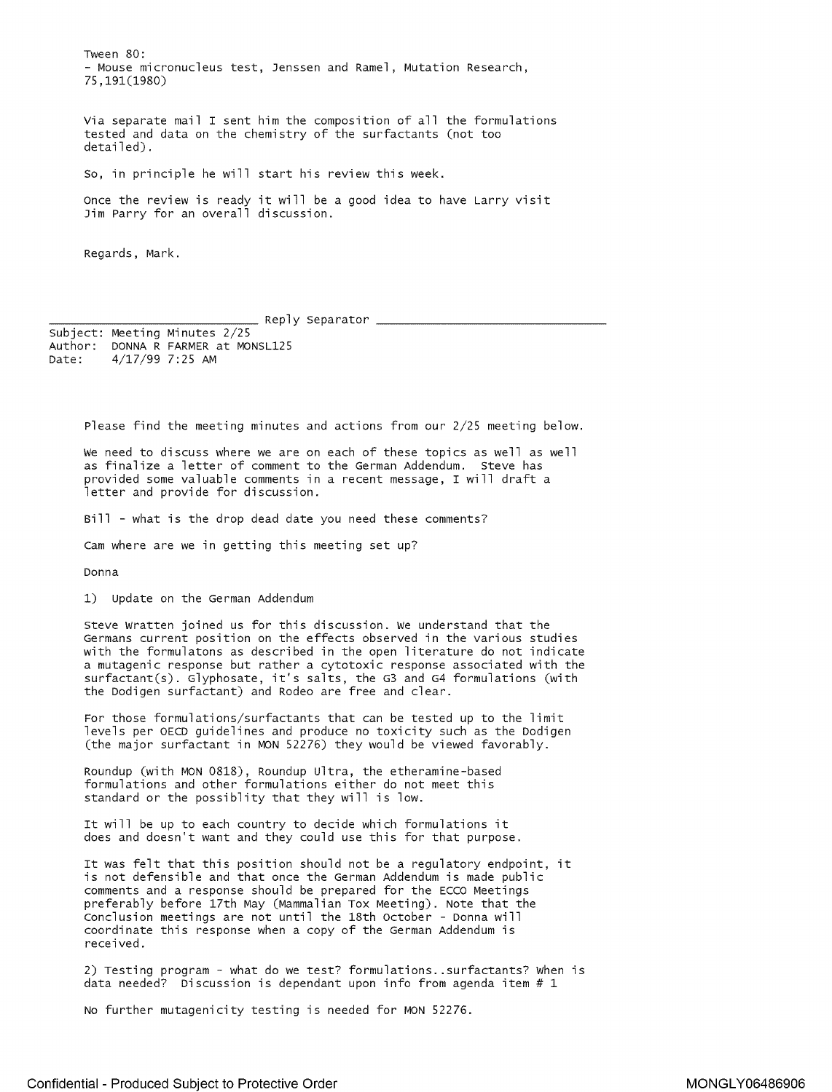Tween 80: - Mouse micronucleus test, Jenssen and Ramel, Mutation Research, 75,191(1980)

Via separate mail I sent him the composition of all the formulations tested and data on the chemistry of the surfactants (not too detailed).

so, in principle he will start his review this week.

Once the review is ready it will be a good idea to have Larry visit Jim Parry for an overall discussion.

Regards, Mark.

Reply Separator

subject: Meeting Minutes 2/25 Author: DONNA R FARMER at MONSL125 Date: 4/17/99 7:25 AM

Please find the meeting minutes and actions from our 2/25 meeting below.

We need to discuss where we are on each of these topics as well as well as finalize a letter of comment to the German Addendum. Steve has provided some valuable comments in a recent message, I will draft a letter and provide for discussion.

Bill - what is the drop dead date you need these comments?

cam where are we in getting this meeting set up?

Donna

1) Update on the German Addendum

Steve Wratten joined us for this discussion. We understand that the Germans current position on the effects observed in the various studies with the formulatons as described in the open literature do not indicate a mutagenic response but rather a cytotoxic response associated with the surfactant(s). Glyphosate, it's salts, the G3 and G4 formulations (with the Dodigen surfactant) and Rodeo are free and clear.

For those formulations/surfactants that can be tested up to the limit levels per OECD guidelines and produce no toxicity such as the Dodigen (the major surfactant in MON 52276) they would be viewed favorably.

[Roundup](https://www.baumhedlundlaw.com/toxic-tort-law/monsanto-roundup-lawsuit/) (with MON 0818), Roundup Ultra, the etheramine-based formulations and other formulations either do not meet this standard or the possiblity that they will is low.

It will be up to each country to decide which formulations it does and doesn't want and they could use this for that purpose.

It was felt that this position should not be a regulatory endpoint, it is not defensible and that once the German Addendum is made public comments and a response should be prepared for the ECCO Meetings preferably before 17th May (Mammalian Tox Meeting). Note that the Conclusion meetings are not until the 18th October - Donna will coordinate this response when a copy of the German Addendum is received.

2) Testing program - what do we test? formulations .. surfactants? When is data needed? Discussion is dependant upon info from agenda item  $# 1$ 

No further mutagenicity testing is needed for MON 52276.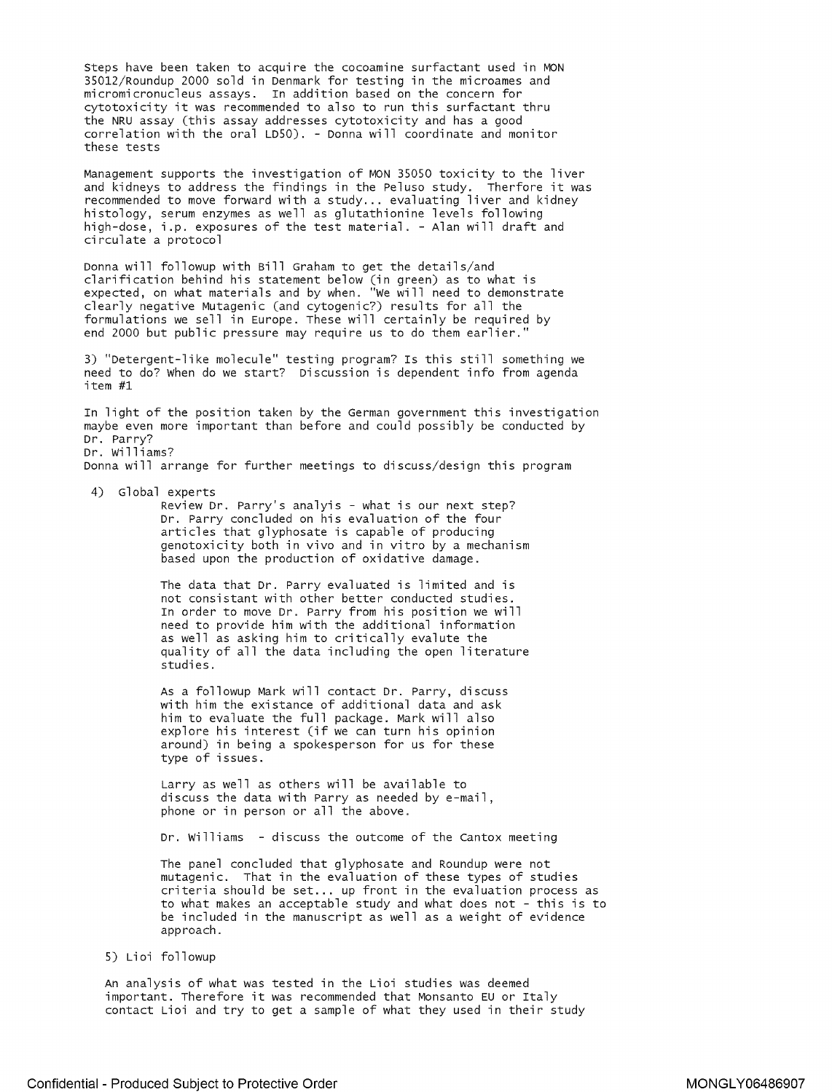Steps have been taken to acquire the cocoamine surfactant used in MON 35012/Roundup 2000 sold in Denmark for testing in the microames and micromicronucleus assays. In addition based on the concern for cytotoxicity it was recommended to also to run this surfactant thru the NRU assay (this assay addresses cytotoxicity and has a good correlation with the oral LDSO). - Donna will coordinate and monitor these tests

Management supports the investigation of MON 35050 toxicity to the liver and kidneys to address the findings in the Peluso study. Therfore it was recommended to move forward with a study ... evaluating liver and kidney histology, serum enzymes as well as glutathionine levels following high-dose, i .p. exposures of the test material. - Alan will draft and circulate a protocol

Donna will followup with Bill Graham to get the details/and clarification behind his statement below (in green) as to what is expected, on what materials and by when. "we will need to demonstrate clearly negative Mutagenic (and cytogenic?) results for all the formulations we sell in Europe. These will certainly be required by end 2000 but public pressure may require us to do them earlier."

3) "Detergent-like molecule" testing program? Is this still something we need to do? When do we start? Discussion is dependent info from agenda item #1

In light of the position taken by the German government this investigation maybe even more important than before and could possibly be conducted by Dr. Parry? Dr. Williams?

Donna will arrange for further meetings to discuss/design this program

4) Global experts

Review Dr. Parry's analyis - what is our next step? Dr. Parry concluded on his evaluation of the four articles that glyphosate is capable of producing genotoxicity both in vivo and in vitro by a mechanism based upon the production of oxidative damage.

The data that Dr. Parry evaluated is limited and is not consistant with other better conducted studies. In order to move Dr. Parry from his position we will need to provide him with the additional information as well as asking him to critically evalute the quality of all the data including the open literature studies.

As a followup Mark will contact Dr. Parry, discuss with him the existance of additional data and ask him to evaluate the full package. Mark will also explore his interest (if we can turn his opinion around) in being a spokesperson for us for these type of issues.

Larry as well as others will be available to discuss the data with Parry as needed by e-mail, phone or in person or all the above.

Dr. Williams - discuss the outcome of the cantox meeting

The panel concluded that glyphosate and Roundup were not mutagenic. That in the evaluation of these types of studies criteria should be set ... up front in the evaluation process as to what makes an acceptable study and what does not - this is to be included in the manuscript as well as a weight of evidence approach.

## 5) Lioi followup

An analysis of what was tested in the Lioi studies was deemed important. Therefore it was recommended that Monsanto EU or Italy contact Lioi and try to get a sample of what they used in their study